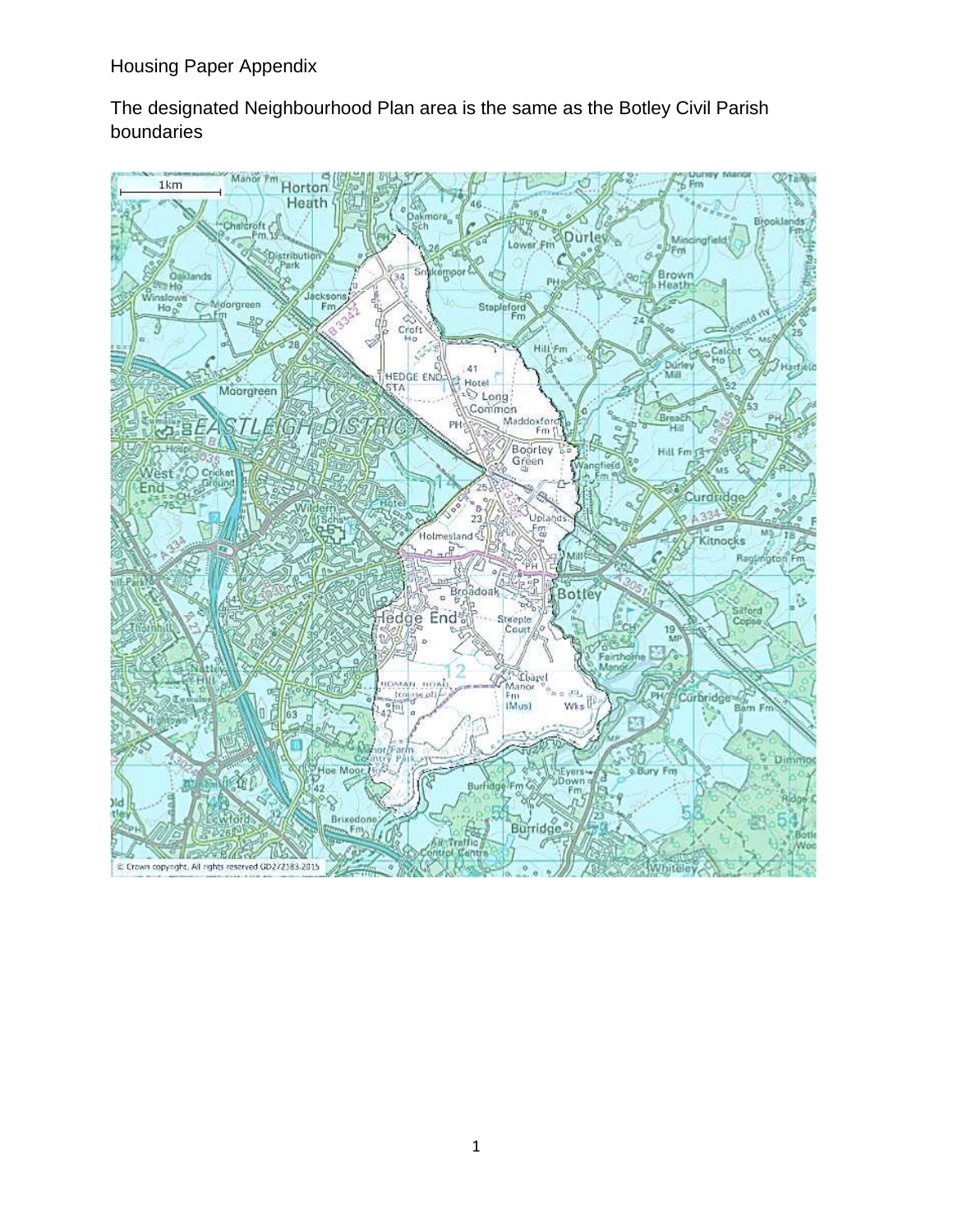The designated Neighbourhood Plan area is the same as the Botley Civil Parish boundaries

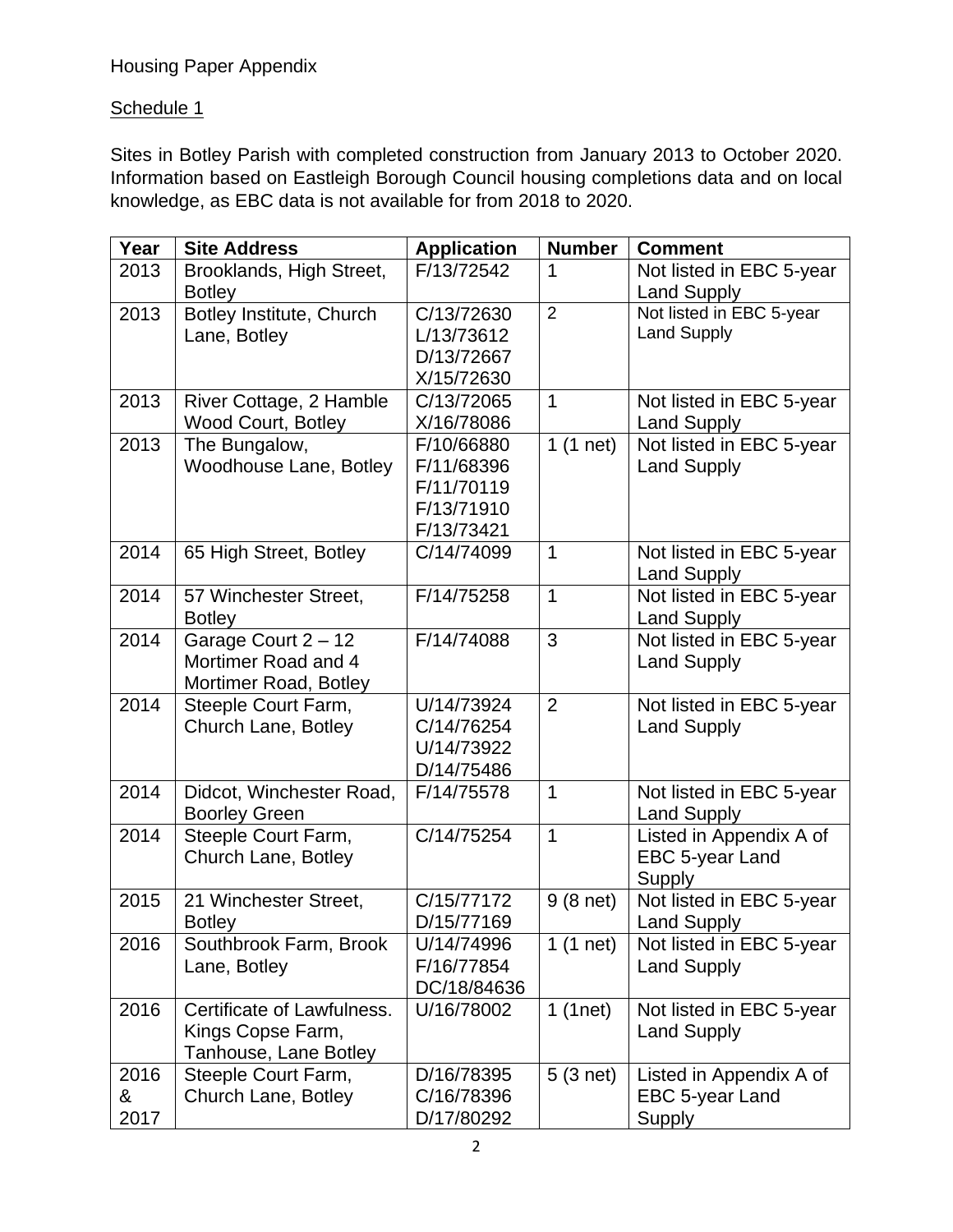### Schedule 1

Sites in Botley Parish with completed construction from January 2013 to October 2020. Information based on Eastleigh Borough Council housing completions data and on local knowledge, as EBC data is not available for from 2018 to 2020.

| Year | <b>Site Address</b>        | <b>Application</b> | <b>Number</b>  | <b>Comment</b>           |
|------|----------------------------|--------------------|----------------|--------------------------|
| 2013 | Brooklands, High Street,   | F/13/72542         | 1              | Not listed in EBC 5-year |
|      | <b>Botley</b>              |                    |                | <b>Land Supply</b>       |
| 2013 | Botley Institute, Church   | C/13/72630         | $\overline{2}$ | Not listed in EBC 5-year |
|      | Lane, Botley               | L/13/73612         |                | <b>Land Supply</b>       |
|      |                            | D/13/72667         |                |                          |
|      |                            | X/15/72630         |                |                          |
| 2013 | River Cottage, 2 Hamble    | C/13/72065         | $\mathbf{1}$   | Not listed in EBC 5-year |
|      | <b>Wood Court, Botley</b>  | X/16/78086         |                | <b>Land Supply</b>       |
| 2013 | The Bungalow,              | F/10/66880         | $1(1$ net)     | Not listed in EBC 5-year |
|      | Woodhouse Lane, Botley     | F/11/68396         |                | <b>Land Supply</b>       |
|      |                            | F/11/70119         |                |                          |
|      |                            | F/13/71910         |                |                          |
|      |                            | F/13/73421         |                |                          |
| 2014 | 65 High Street, Botley     | C/14/74099         | $\mathbf 1$    | Not listed in EBC 5-year |
|      |                            |                    |                | <b>Land Supply</b>       |
| 2014 | 57 Winchester Street,      | F/14/75258         | 1              | Not listed in EBC 5-year |
|      | <b>Botley</b>              |                    |                | <b>Land Supply</b>       |
| 2014 | Garage Court 2 - 12        | F/14/74088         | 3              | Not listed in EBC 5-year |
|      | Mortimer Road and 4        |                    |                | <b>Land Supply</b>       |
|      | Mortimer Road, Botley      |                    |                |                          |
| 2014 | Steeple Court Farm,        | U/14/73924         | $\overline{2}$ | Not listed in EBC 5-year |
|      | Church Lane, Botley        | C/14/76254         |                | <b>Land Supply</b>       |
|      |                            | U/14/73922         |                |                          |
|      |                            | D/14/75486         |                |                          |
| 2014 | Didcot, Winchester Road,   | F/14/75578         | 1              | Not listed in EBC 5-year |
|      | <b>Boorley Green</b>       |                    |                | <b>Land Supply</b>       |
| 2014 | Steeple Court Farm,        | C/14/75254         | 1              | Listed in Appendix A of  |
|      | Church Lane, Botley        |                    |                | EBC 5-year Land          |
|      |                            |                    |                | Supply                   |
| 2015 | 21 Winchester Street,      | C/15/77172         | $9(8$ net)     | Not listed in EBC 5-year |
|      | <b>Botley</b>              | D/15/77169         |                | <b>Land Supply</b>       |
| 2016 | Southbrook Farm, Brook     | U/14/74996         | 1 $(1$ net)    | Not listed in EBC 5-year |
|      | Lane, Botley               | F/16/77854         |                | <b>Land Supply</b>       |
|      |                            | DC/18/84636        |                |                          |
| 2016 | Certificate of Lawfulness. | U/16/78002         | 1(1net)        | Not listed in EBC 5-year |
|      | Kings Copse Farm,          |                    |                | <b>Land Supply</b>       |
|      | Tanhouse, Lane Botley      |                    |                |                          |
| 2016 | Steeple Court Farm,        | D/16/78395         | $5(3$ net)     | Listed in Appendix A of  |
| &    | Church Lane, Botley        | C/16/78396         |                | EBC 5-year Land          |
| 2017 |                            | D/17/80292         |                | Supply                   |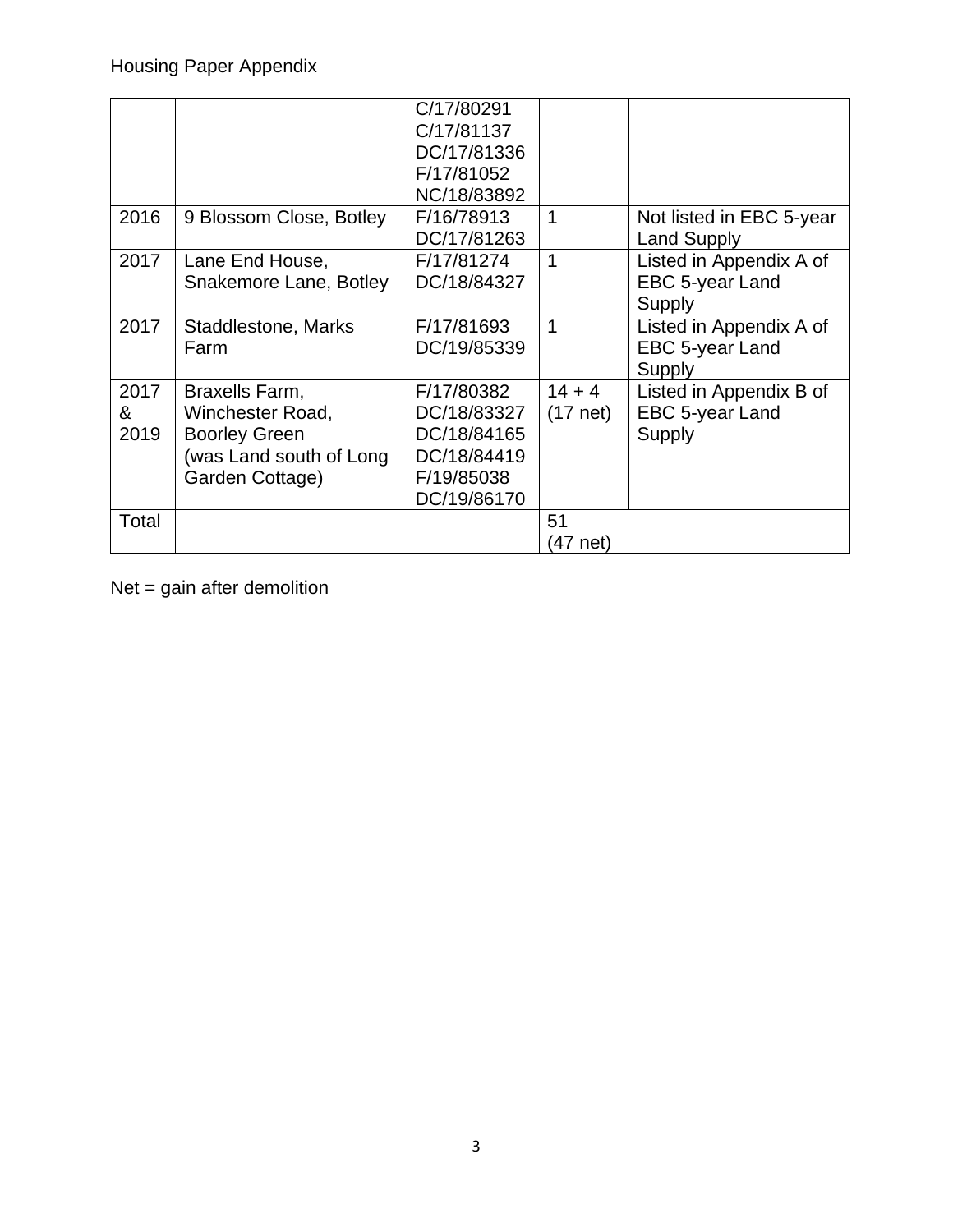|       |                         | C/17/80291  |             |                          |
|-------|-------------------------|-------------|-------------|--------------------------|
|       |                         | C/17/81137  |             |                          |
|       |                         | DC/17/81336 |             |                          |
|       |                         | F/17/81052  |             |                          |
|       |                         | NC/18/83892 |             |                          |
| 2016  | 9 Blossom Close, Botley | F/16/78913  | $\mathbf 1$ | Not listed in EBC 5-year |
|       |                         | DC/17/81263 |             | <b>Land Supply</b>       |
| 2017  | Lane End House,         | F/17/81274  | 1           | Listed in Appendix A of  |
|       | Snakemore Lane, Botley  | DC/18/84327 |             | EBC 5-year Land          |
|       |                         |             |             | Supply                   |
| 2017  | Staddlestone, Marks     | F/17/81693  | 1           | Listed in Appendix A of  |
|       | Farm                    | DC/19/85339 |             | EBC 5-year Land          |
|       |                         |             |             | Supply                   |
| 2017  | Braxells Farm,          | F/17/80382  | $14 + 4$    | Listed in Appendix B of  |
| &     | Winchester Road,        | DC/18/83327 | $(17$ net)  | EBC 5-year Land          |
| 2019  | <b>Boorley Green</b>    | DC/18/84165 |             | Supply                   |
|       | (was Land south of Long | DC/18/84419 |             |                          |
|       | Garden Cottage)         | F/19/85038  |             |                          |
|       |                         | DC/19/86170 |             |                          |
| Total |                         |             | 51          |                          |
|       |                         |             | (47 net)    |                          |

Net = gain after demolition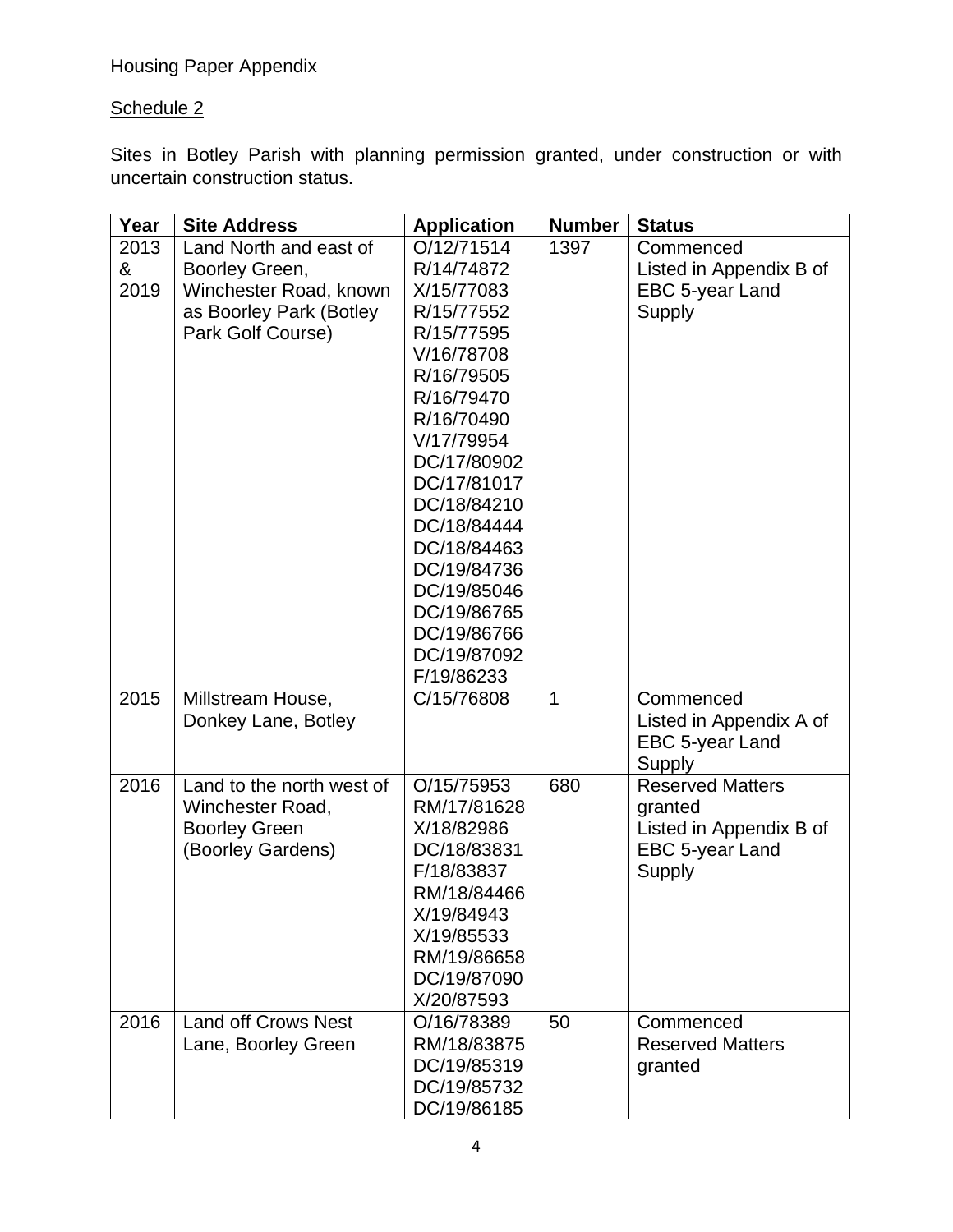Housing Paper Appendix

### Schedule 2

Sites in Botley Parish with planning permission granted, under construction or with uncertain construction status.

| Year | <b>Site Address</b>        | <b>Application</b> | <b>Number</b> | <b>Status</b>           |
|------|----------------------------|--------------------|---------------|-------------------------|
| 2013 | Land North and east of     | O/12/71514         | 1397          | Commenced               |
| &    | Boorley Green,             | R/14/74872         |               | Listed in Appendix B of |
| 2019 | Winchester Road, known     | X/15/77083         |               | EBC 5-year Land         |
|      | as Boorley Park (Botley    | R/15/77552         |               | Supply                  |
|      | Park Golf Course)          | R/15/77595         |               |                         |
|      |                            | V/16/78708         |               |                         |
|      |                            | R/16/79505         |               |                         |
|      |                            | R/16/79470         |               |                         |
|      |                            | R/16/70490         |               |                         |
|      |                            | V/17/79954         |               |                         |
|      |                            | DC/17/80902        |               |                         |
|      |                            | DC/17/81017        |               |                         |
|      |                            | DC/18/84210        |               |                         |
|      |                            | DC/18/84444        |               |                         |
|      |                            | DC/18/84463        |               |                         |
|      |                            | DC/19/84736        |               |                         |
|      |                            | DC/19/85046        |               |                         |
|      |                            | DC/19/86765        |               |                         |
|      |                            | DC/19/86766        |               |                         |
|      |                            | DC/19/87092        |               |                         |
|      |                            | F/19/86233         |               |                         |
| 2015 | Millstream House,          | C/15/76808         | 1             | Commenced               |
|      | Donkey Lane, Botley        |                    |               | Listed in Appendix A of |
|      |                            |                    |               | EBC 5-year Land         |
|      |                            |                    |               | Supply                  |
| 2016 | Land to the north west of  | O/15/75953         | 680           | <b>Reserved Matters</b> |
|      | Winchester Road,           | RM/17/81628        |               | granted                 |
|      | <b>Boorley Green</b>       | X/18/82986         |               | Listed in Appendix B of |
|      | (Boorley Gardens)          | DC/18/83831        |               | EBC 5-year Land         |
|      |                            | F/18/83837         |               | <b>Supply</b>           |
|      |                            | RM/18/84466        |               |                         |
|      |                            | X/19/84943         |               |                         |
|      |                            | X/19/85533         |               |                         |
|      |                            | RM/19/86658        |               |                         |
|      |                            | DC/19/87090        |               |                         |
|      |                            | X/20/87593         |               |                         |
| 2016 | <b>Land off Crows Nest</b> | O/16/78389         | 50            | Commenced               |
|      | Lane, Boorley Green        | RM/18/83875        |               | <b>Reserved Matters</b> |
|      |                            | DC/19/85319        |               | granted                 |
|      |                            | DC/19/85732        |               |                         |
|      |                            | DC/19/86185        |               |                         |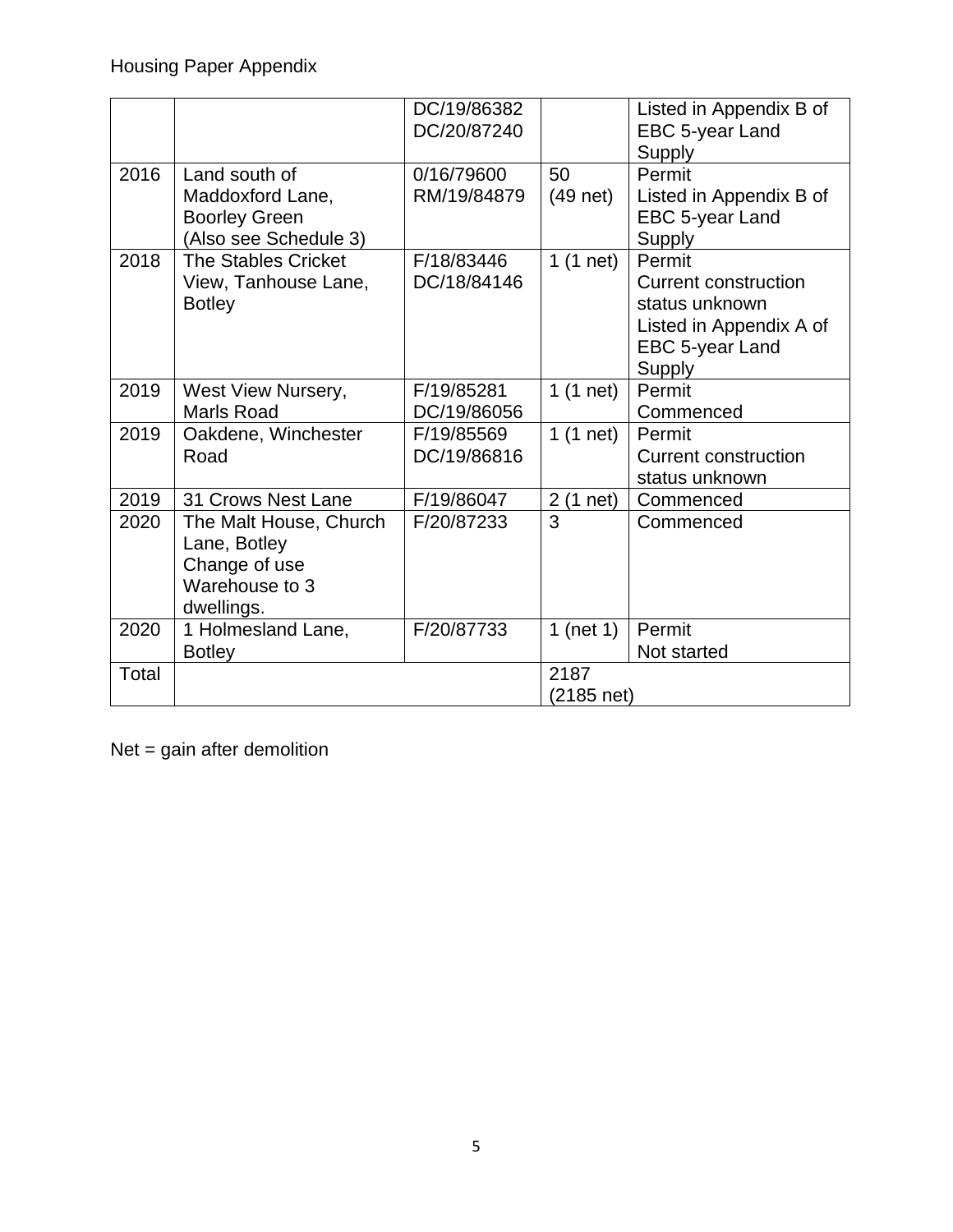|       |                            | DC/19/86382 |                | Listed in Appendix B of     |
|-------|----------------------------|-------------|----------------|-----------------------------|
|       |                            | DC/20/87240 |                | EBC 5-year Land             |
|       |                            |             |                | Supply                      |
| 2016  | Land south of              | 0/16/79600  | 50             | Permit                      |
|       | Maddoxford Lane,           | RM/19/84879 | $(49$ net)     | Listed in Appendix B of     |
|       | <b>Boorley Green</b>       |             |                | EBC 5-year Land             |
|       | (Also see Schedule 3)      |             |                | Supply                      |
| 2018  | <b>The Stables Cricket</b> | F/18/83446  | $1(1$ net)     | Permit                      |
|       | View, Tanhouse Lane,       | DC/18/84146 |                | <b>Current construction</b> |
|       | <b>Botley</b>              |             |                | status unknown              |
|       |                            |             |                | Listed in Appendix A of     |
|       |                            |             |                | EBC 5-year Land             |
|       |                            |             |                | Supply                      |
| 2019  | West View Nursery,         | F/19/85281  | $1(1$ net)     | Permit                      |
|       | <b>Marls Road</b>          | DC/19/86056 |                | Commenced                   |
| 2019  | Oakdene, Winchester        | F/19/85569  | $1(1$ net)     | Permit                      |
|       | Road                       | DC/19/86816 |                | <b>Current construction</b> |
|       |                            |             |                | status unknown              |
| 2019  | 31 Crows Nest Lane         | F/19/86047  | $2(1$ net)     | Commenced                   |
| 2020  | The Malt House, Church     | F/20/87233  | $\overline{3}$ | Commenced                   |
|       | Lane, Botley               |             |                |                             |
|       | Change of use              |             |                |                             |
|       | Warehouse to 3             |             |                |                             |
|       | dwellings.                 |             |                |                             |
| 2020  | 1 Holmesland Lane,         | F/20/87733  | 1 (net $1$ )   | Permit                      |
|       | <b>Botley</b>              |             |                | Not started                 |
| Total |                            |             | 2187           |                             |
|       |                            |             | (2185 net)     |                             |

Net = gain after demolition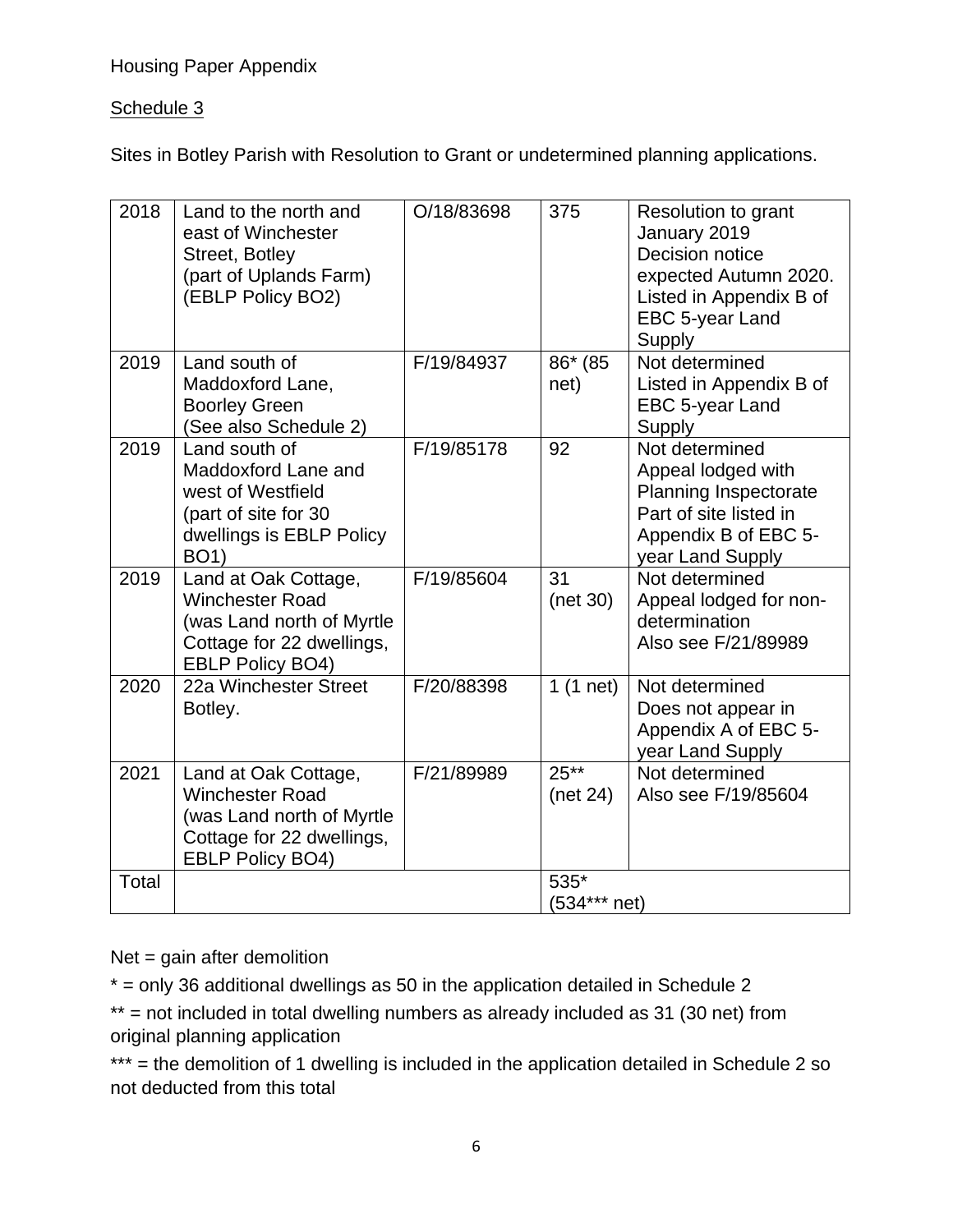### Housing Paper Appendix

### Schedule 3

Sites in Botley Parish with Resolution to Grant or undetermined planning applications.

| 2018  | Land to the north and<br>east of Winchester<br>Street, Botley<br>(part of Uplands Farm)<br>(EBLP Policy BO2)                        | O/18/83698 | 375                  | <b>Resolution to grant</b><br>January 2019<br>Decision notice<br>expected Autumn 2020.<br>Listed in Appendix B of<br>EBC 5-year Land<br>Supply |
|-------|-------------------------------------------------------------------------------------------------------------------------------------|------------|----------------------|------------------------------------------------------------------------------------------------------------------------------------------------|
| 2019  | Land south of<br>Maddoxford Lane,<br><b>Boorley Green</b><br>(See also Schedule 2)                                                  | F/19/84937 | 86* (85<br>net)      | Not determined<br>Listed in Appendix B of<br>EBC 5-year Land<br>Supply                                                                         |
| 2019  | Land south of<br>Maddoxford Lane and<br>west of Westfield<br>(part of site for 30<br>dwellings is EBLP Policy<br><b>BO1)</b>        | F/19/85178 | 92                   | Not determined<br>Appeal lodged with<br><b>Planning Inspectorate</b><br>Part of site listed in<br>Appendix B of EBC 5-<br>year Land Supply     |
| 2019  | Land at Oak Cottage,<br><b>Winchester Road</b><br>(was Land north of Myrtle<br>Cottage for 22 dwellings,<br><b>EBLP Policy BO4)</b> | F/19/85604 | 31<br>(net 30)       | Not determined<br>Appeal lodged for non-<br>determination<br>Also see F/21/89989                                                               |
| 2020  | 22a Winchester Street<br>Botley.                                                                                                    | F/20/88398 | $1(1$ net)           | Not determined<br>Does not appear in<br>Appendix A of EBC 5-<br>year Land Supply                                                               |
| 2021  | Land at Oak Cottage,<br><b>Winchester Road</b><br>(was Land north of Myrtle<br>Cottage for 22 dwellings,<br><b>EBLP Policy BO4)</b> | F/21/89989 | $25**$<br>(net 24)   | Not determined<br>Also see F/19/85604                                                                                                          |
| Total |                                                                                                                                     |            | 535*<br>(534*** net) |                                                                                                                                                |

 $Net = gain$  after demolition

 $*$  = only 36 additional dwellings as 50 in the application detailed in Schedule 2

\*\* = not included in total dwelling numbers as already included as 31 (30 net) from original planning application

\*\*\* = the demolition of 1 dwelling is included in the application detailed in Schedule 2 so not deducted from this total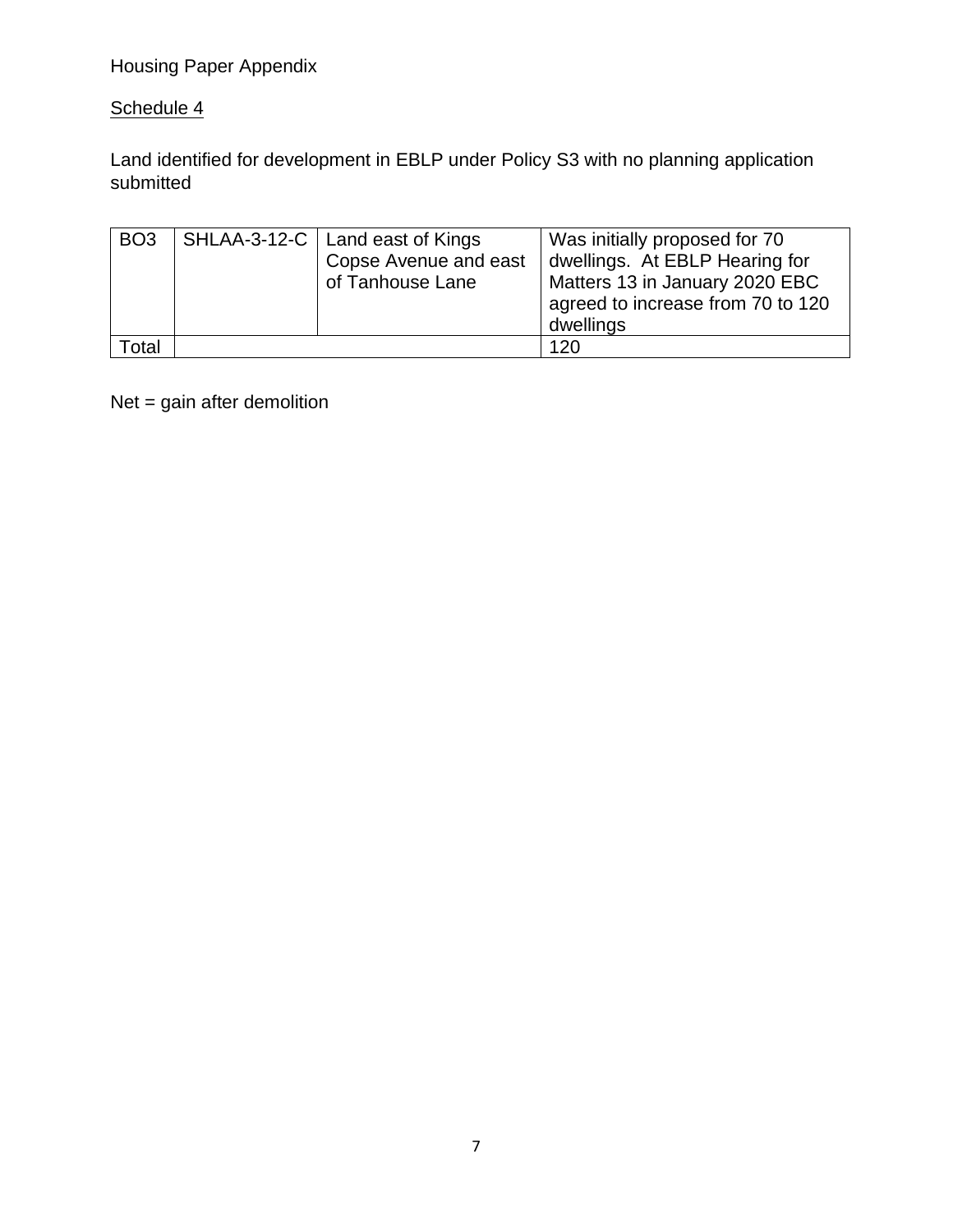## Housing Paper Appendix

### Schedule 4

Land identified for development in EBLP under Policy S3 with no planning application submitted

| BO <sub>3</sub> | SHLAA-3-12-C   Land east of Kings<br>Copse Avenue and east<br>of Tanhouse Lane | Was initially proposed for 70<br>dwellings. At EBLP Hearing for<br>Matters 13 in January 2020 EBC<br>agreed to increase from 70 to 120<br>dwellings |
|-----------------|--------------------------------------------------------------------------------|-----------------------------------------------------------------------------------------------------------------------------------------------------|
| Гоtal           |                                                                                | 120                                                                                                                                                 |

Net = gain after demolition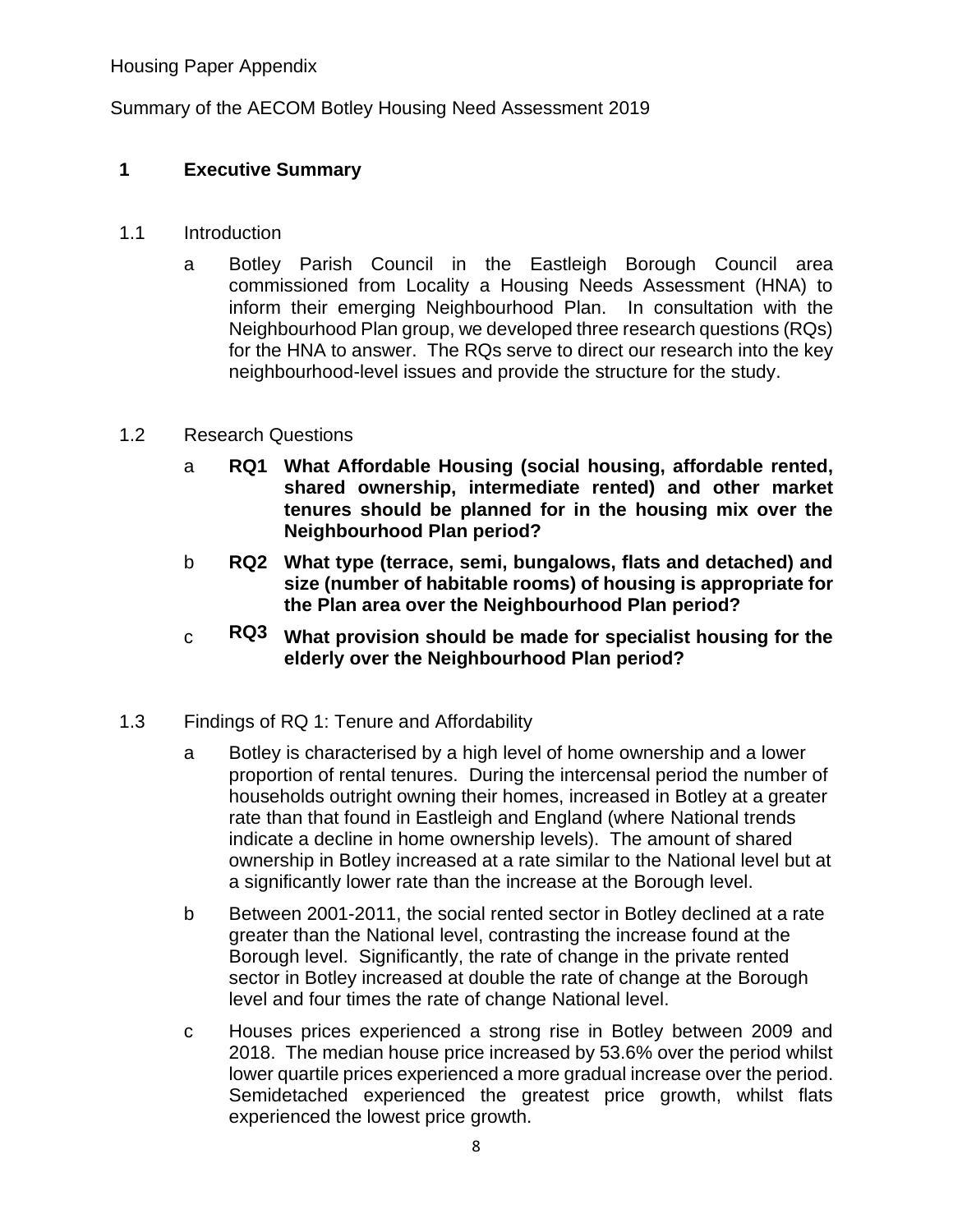Summary of the AECOM Botley Housing Need Assessment 2019

### **1 Executive Summary**

- 1.1 Introduction
	- a Botley Parish Council in the Eastleigh Borough Council area commissioned from Locality a Housing Needs Assessment (HNA) to inform their emerging Neighbourhood Plan. In consultation with the Neighbourhood Plan group, we developed three research questions (RQs) for the HNA to answer. The RQs serve to direct our research into the key neighbourhood-level issues and provide the structure for the study.

#### 1.2 Research Questions

- a **RQ1 What Affordable Housing (social housing, affordable rented, shared ownership, intermediate rented) and other market tenures should be planned for in the housing mix over the Neighbourhood Plan period?**
- b **RQ2 What type (terrace, semi, bungalows, flats and detached) and size (number of habitable rooms) of housing is appropriate for the Plan area over the Neighbourhood Plan period?**
- c **RQ3 What provision should be made for specialist housing for the elderly over the Neighbourhood Plan period?**
- 1.3 Findings of RQ 1: Tenure and Affordability
	- a Botley is characterised by a high level of home ownership and a lower proportion of rental tenures. During the intercensal period the number of households outright owning their homes, increased in Botley at a greater rate than that found in Eastleigh and England (where National trends indicate a decline in home ownership levels). The amount of shared ownership in Botley increased at a rate similar to the National level but at a significantly lower rate than the increase at the Borough level.
	- b Between 2001-2011, the social rented sector in Botley declined at a rate greater than the National level, contrasting the increase found at the Borough level. Significantly, the rate of change in the private rented sector in Botley increased at double the rate of change at the Borough level and four times the rate of change National level.
	- c Houses prices experienced a strong rise in Botley between 2009 and 2018. The median house price increased by 53.6% over the period whilst lower quartile prices experienced a more gradual increase over the period. Semidetached experienced the greatest price growth, whilst flats experienced the lowest price growth.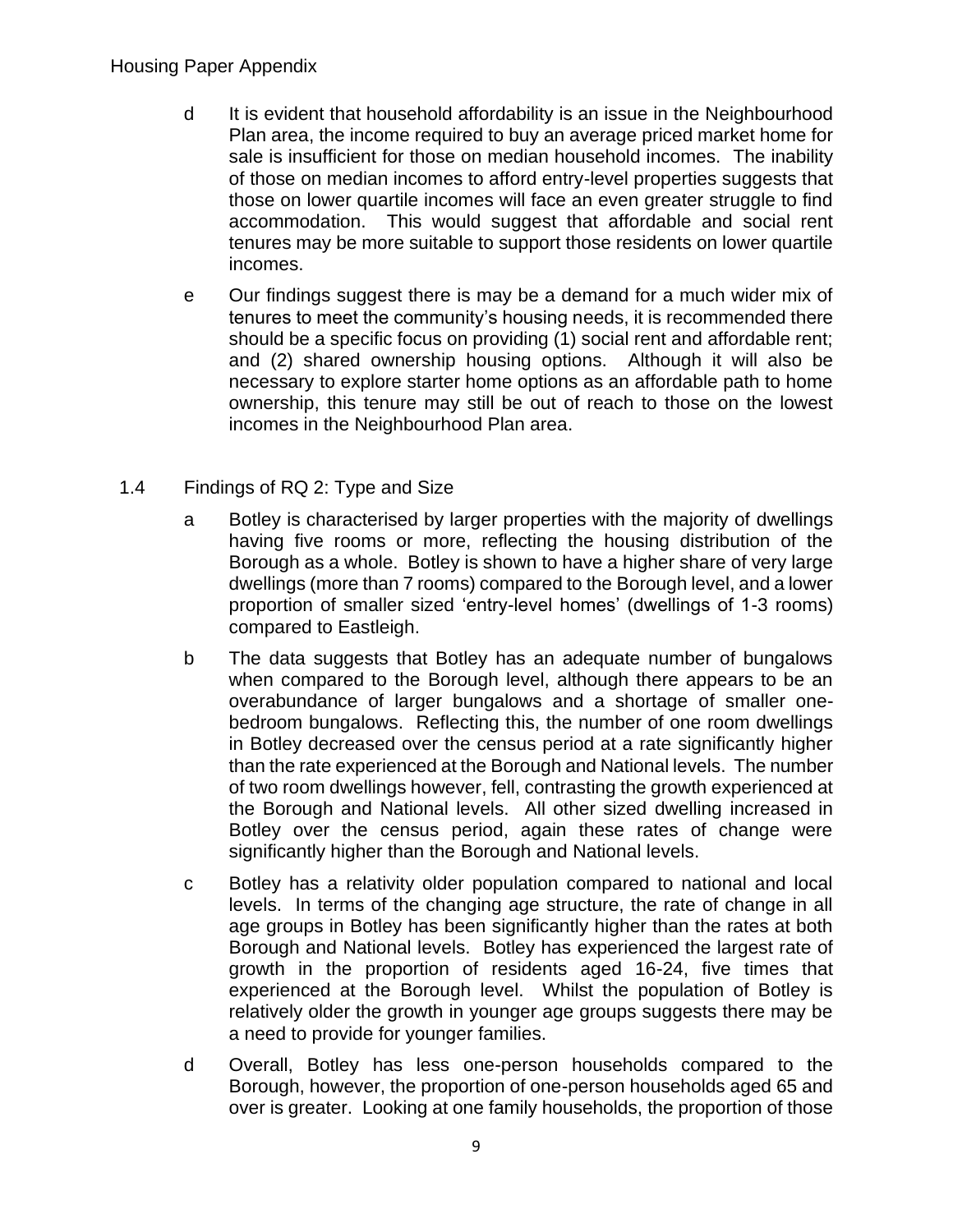- d It is evident that household affordability is an issue in the Neighbourhood Plan area, the income required to buy an average priced market home for sale is insufficient for those on median household incomes. The inability of those on median incomes to afford entry-level properties suggests that those on lower quartile incomes will face an even greater struggle to find accommodation. This would suggest that affordable and social rent tenures may be more suitable to support those residents on lower quartile incomes.
- e Our findings suggest there is may be a demand for a much wider mix of tenures to meet the community's housing needs, it is recommended there should be a specific focus on providing (1) social rent and affordable rent; and (2) shared ownership housing options. Although it will also be necessary to explore starter home options as an affordable path to home ownership, this tenure may still be out of reach to those on the lowest incomes in the Neighbourhood Plan area.
- 1.4 Findings of RQ 2: Type and Size
	- a Botley is characterised by larger properties with the majority of dwellings having five rooms or more, reflecting the housing distribution of the Borough as a whole. Botley is shown to have a higher share of very large dwellings (more than 7 rooms) compared to the Borough level, and a lower proportion of smaller sized 'entry-level homes' (dwellings of 1-3 rooms) compared to Eastleigh.
	- b The data suggests that Botley has an adequate number of bungalows when compared to the Borough level, although there appears to be an overabundance of larger bungalows and a shortage of smaller onebedroom bungalows. Reflecting this, the number of one room dwellings in Botley decreased over the census period at a rate significantly higher than the rate experienced at the Borough and National levels. The number of two room dwellings however, fell, contrasting the growth experienced at the Borough and National levels. All other sized dwelling increased in Botley over the census period, again these rates of change were significantly higher than the Borough and National levels.
	- c Botley has a relativity older population compared to national and local levels. In terms of the changing age structure, the rate of change in all age groups in Botley has been significantly higher than the rates at both Borough and National levels. Botley has experienced the largest rate of growth in the proportion of residents aged 16-24, five times that experienced at the Borough level. Whilst the population of Botley is relatively older the growth in younger age groups suggests there may be a need to provide for younger families.
	- d Overall, Botley has less one-person households compared to the Borough, however, the proportion of one-person households aged 65 and over is greater. Looking at one family households, the proportion of those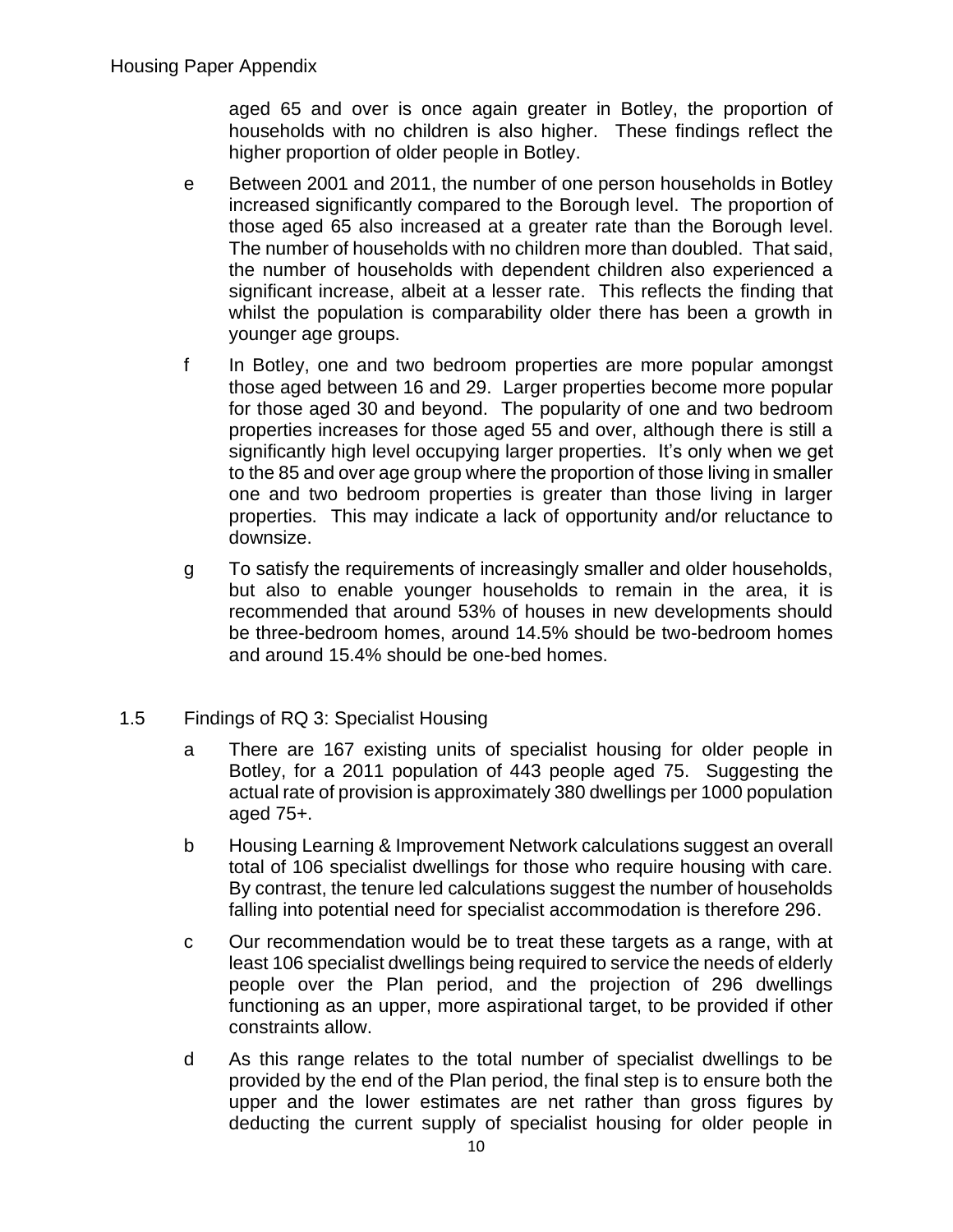aged 65 and over is once again greater in Botley, the proportion of households with no children is also higher. These findings reflect the higher proportion of older people in Botley.

- e Between 2001 and 2011, the number of one person households in Botley increased significantly compared to the Borough level. The proportion of those aged 65 also increased at a greater rate than the Borough level. The number of households with no children more than doubled. That said, the number of households with dependent children also experienced a significant increase, albeit at a lesser rate. This reflects the finding that whilst the population is comparability older there has been a growth in younger age groups.
- f In Botley, one and two bedroom properties are more popular amongst those aged between 16 and 29. Larger properties become more popular for those aged 30 and beyond. The popularity of one and two bedroom properties increases for those aged 55 and over, although there is still a significantly high level occupying larger properties. It's only when we get to the 85 and over age group where the proportion of those living in smaller one and two bedroom properties is greater than those living in larger properties. This may indicate a lack of opportunity and/or reluctance to downsize.
- g To satisfy the requirements of increasingly smaller and older households, but also to enable younger households to remain in the area, it is recommended that around 53% of houses in new developments should be three-bedroom homes, around 14.5% should be two-bedroom homes and around 15.4% should be one-bed homes.
- 1.5 Findings of RQ 3: Specialist Housing
	- a There are 167 existing units of specialist housing for older people in Botley, for a 2011 population of 443 people aged 75. Suggesting the actual rate of provision is approximately 380 dwellings per 1000 population aged 75+.
	- b Housing Learning & Improvement Network calculations suggest an overall total of 106 specialist dwellings for those who require housing with care. By contrast, the tenure led calculations suggest the number of households falling into potential need for specialist accommodation is therefore 296.
	- c Our recommendation would be to treat these targets as a range, with at least 106 specialist dwellings being required to service the needs of elderly people over the Plan period, and the projection of 296 dwellings functioning as an upper, more aspirational target, to be provided if other constraints allow.
	- d As this range relates to the total number of specialist dwellings to be provided by the end of the Plan period, the final step is to ensure both the upper and the lower estimates are net rather than gross figures by deducting the current supply of specialist housing for older people in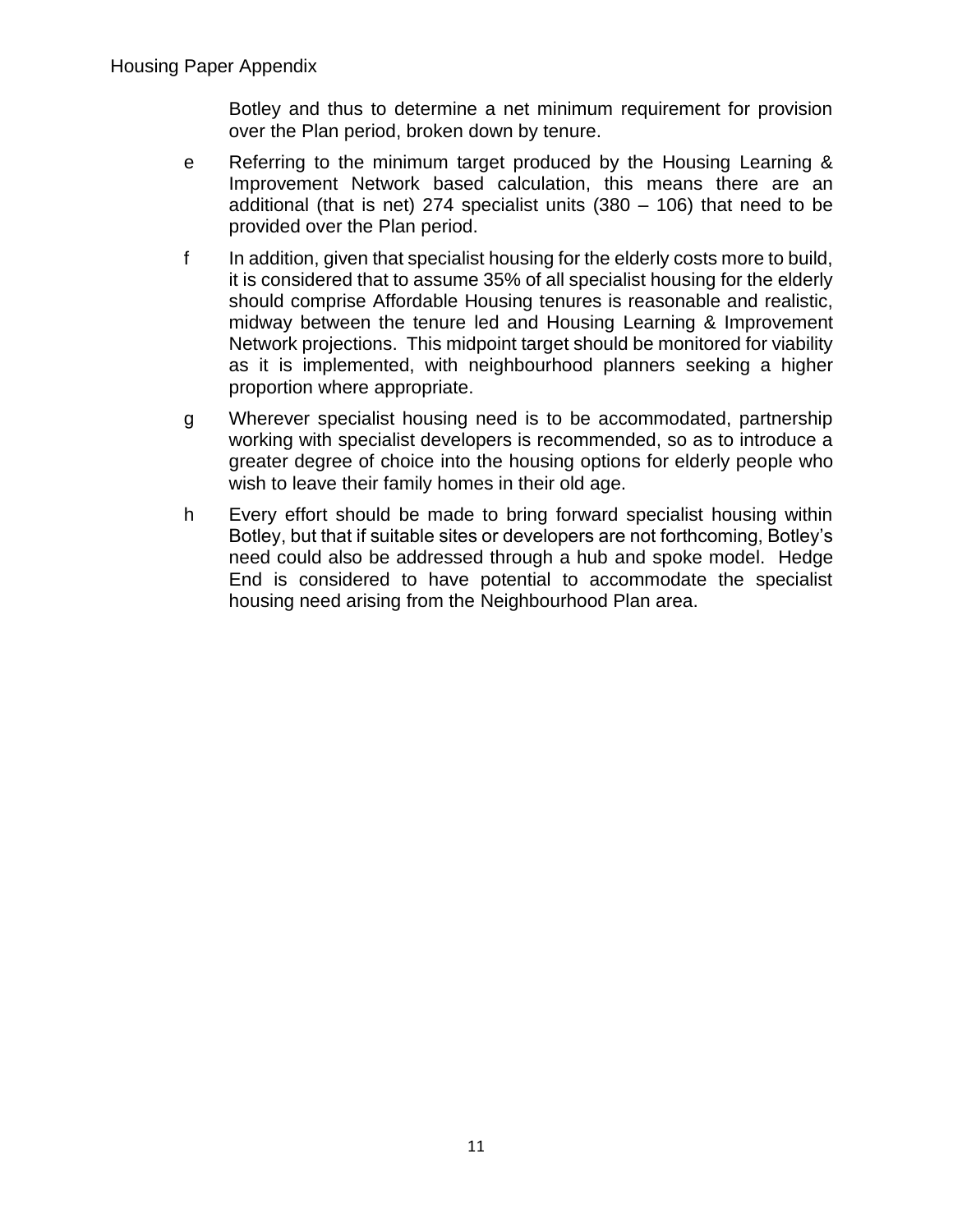Botley and thus to determine a net minimum requirement for provision over the Plan period, broken down by tenure.

- e Referring to the minimum target produced by the Housing Learning & Improvement Network based calculation, this means there are an additional (that is net) 274 specialist units  $(380 - 106)$  that need to be provided over the Plan period.
- f In addition, given that specialist housing for the elderly costs more to build, it is considered that to assume 35% of all specialist housing for the elderly should comprise Affordable Housing tenures is reasonable and realistic, midway between the tenure led and Housing Learning & Improvement Network projections. This midpoint target should be monitored for viability as it is implemented, with neighbourhood planners seeking a higher proportion where appropriate.
- g Wherever specialist housing need is to be accommodated, partnership working with specialist developers is recommended, so as to introduce a greater degree of choice into the housing options for elderly people who wish to leave their family homes in their old age.
- h Every effort should be made to bring forward specialist housing within Botley, but that if suitable sites or developers are not forthcoming, Botley's need could also be addressed through a hub and spoke model. Hedge End is considered to have potential to accommodate the specialist housing need arising from the Neighbourhood Plan area.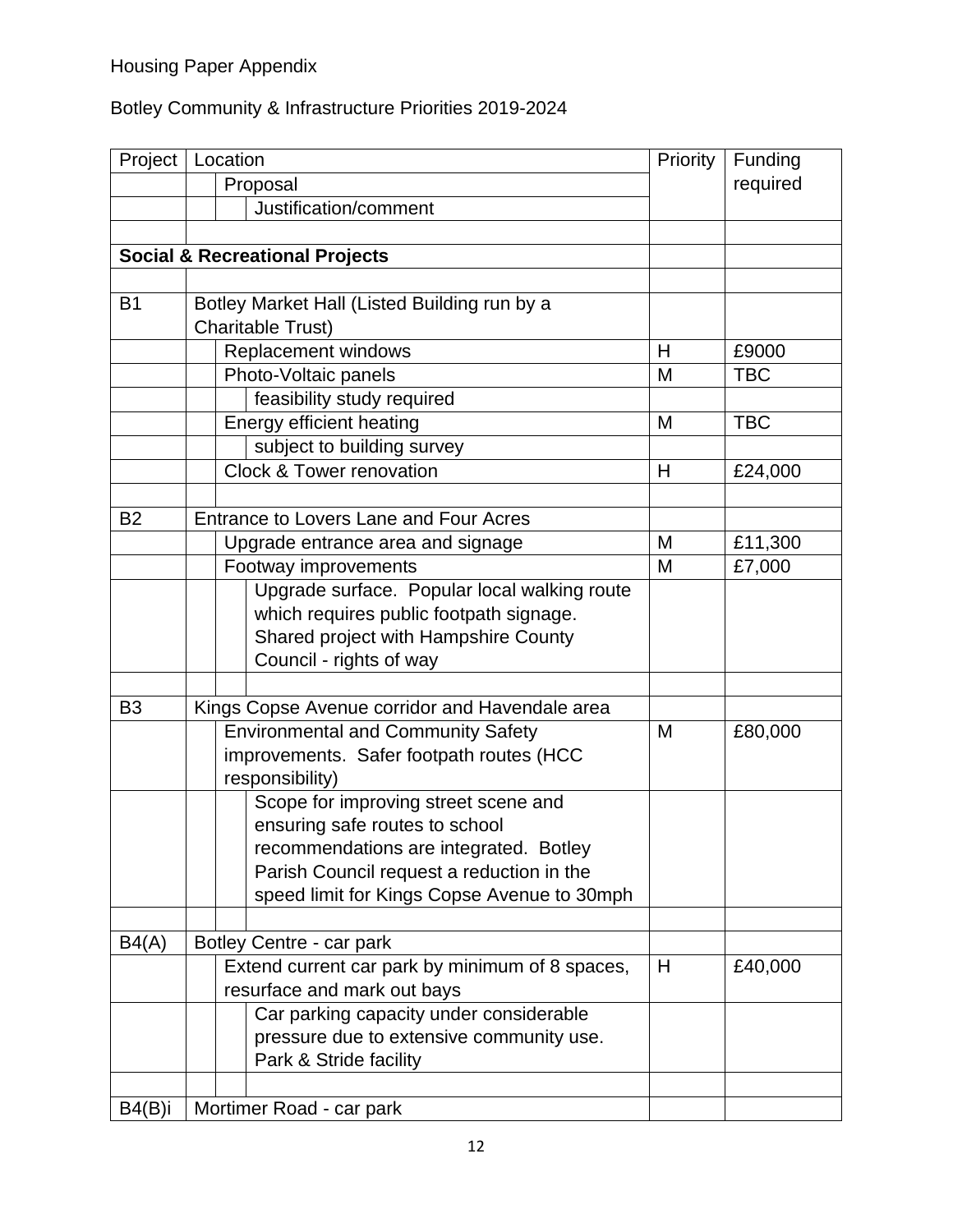# Botley Community & Infrastructure Priorities 2019-2024

| Project        | Location |                                                 | Priority | Funding    |
|----------------|----------|-------------------------------------------------|----------|------------|
|                |          | Proposal                                        |          | required   |
|                |          | Justification/comment                           |          |            |
|                |          |                                                 |          |            |
|                |          | <b>Social &amp; Recreational Projects</b>       |          |            |
|                |          |                                                 |          |            |
| B <sub>1</sub> |          | Botley Market Hall (Listed Building run by a    |          |            |
|                |          | Charitable Trust)                               |          |            |
|                |          | Replacement windows                             | H        | £9000      |
|                |          | Photo-Voltaic panels                            | M        | <b>TBC</b> |
|                |          | feasibility study required                      |          |            |
|                |          | Energy efficient heating                        | M        | <b>TBC</b> |
|                |          | subject to building survey                      |          |            |
|                |          | <b>Clock &amp; Tower renovation</b>             | H        | £24,000    |
|                |          |                                                 |          |            |
| <b>B2</b>      |          | <b>Entrance to Lovers Lane and Four Acres</b>   |          |            |
|                |          | Upgrade entrance area and signage               | M        | £11,300    |
|                |          | Footway improvements                            | M        | £7,000     |
|                |          | Upgrade surface. Popular local walking route    |          |            |
|                |          | which requires public footpath signage.         |          |            |
|                |          | Shared project with Hampshire County            |          |            |
|                |          | Council - rights of way                         |          |            |
|                |          |                                                 |          |            |
| B <sub>3</sub> |          | Kings Copse Avenue corridor and Havendale area  |          |            |
|                |          | <b>Environmental and Community Safety</b>       | M        | £80,000    |
|                |          | improvements. Safer footpath routes (HCC        |          |            |
|                |          | responsibility)                                 |          |            |
|                |          | Scope for improving street scene and            |          |            |
|                |          | ensuring safe routes to school                  |          |            |
|                |          | recommendations are integrated. Botley          |          |            |
|                |          | Parish Council request a reduction in the       |          |            |
|                |          | speed limit for Kings Copse Avenue to 30mph     |          |            |
|                |          |                                                 |          |            |
| B4(A)          |          | Botley Centre - car park                        |          |            |
|                |          | Extend current car park by minimum of 8 spaces, | H        | £40,000    |
|                |          | resurface and mark out bays                     |          |            |
|                |          | Car parking capacity under considerable         |          |            |
|                |          | pressure due to extensive community use.        |          |            |
|                |          | Park & Stride facility                          |          |            |
|                |          |                                                 |          |            |
| B4(B)i         |          | Mortimer Road - car park                        |          |            |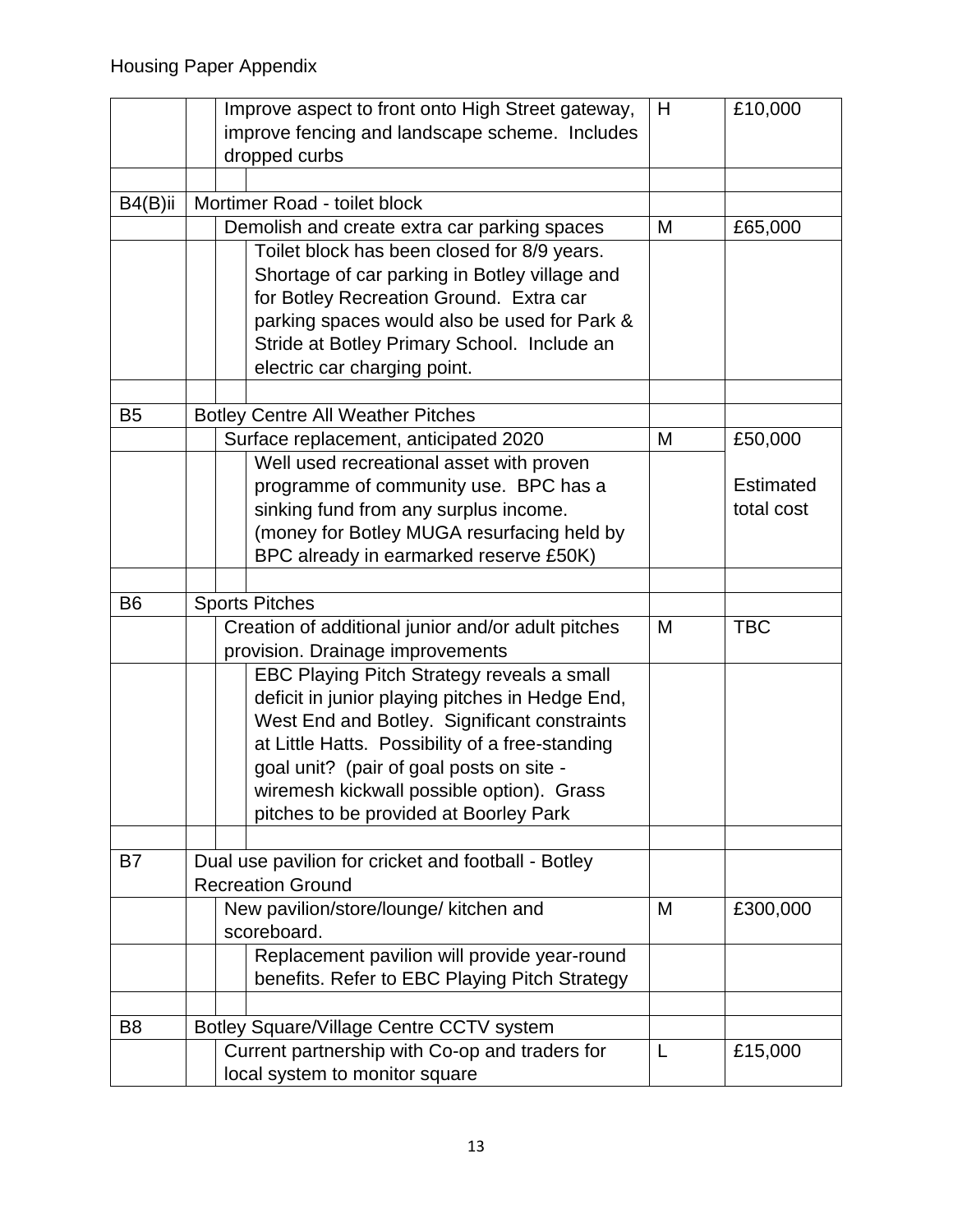|                | Improve aspect to front onto High Street gateway,   | H | £10,000          |
|----------------|-----------------------------------------------------|---|------------------|
|                | improve fencing and landscape scheme. Includes      |   |                  |
|                | dropped curbs                                       |   |                  |
| B4(B)ii        | Mortimer Road - toilet block                        |   |                  |
|                | Demolish and create extra car parking spaces        | M | £65,000          |
|                | Toilet block has been closed for 8/9 years.         |   |                  |
|                | Shortage of car parking in Botley village and       |   |                  |
|                | for Botley Recreation Ground. Extra car             |   |                  |
|                | parking spaces would also be used for Park &        |   |                  |
|                | Stride at Botley Primary School. Include an         |   |                  |
|                | electric car charging point.                        |   |                  |
|                |                                                     |   |                  |
| B <sub>5</sub> | <b>Botley Centre All Weather Pitches</b>            |   |                  |
|                | Surface replacement, anticipated 2020               | M | £50,000          |
|                | Well used recreational asset with proven            |   |                  |
|                | programme of community use. BPC has a               |   | <b>Estimated</b> |
|                | sinking fund from any surplus income.               |   | total cost       |
|                | (money for Botley MUGA resurfacing held by          |   |                  |
|                | BPC already in earmarked reserve £50K)              |   |                  |
|                |                                                     |   |                  |
| B <sub>6</sub> | <b>Sports Pitches</b>                               |   |                  |
|                | Creation of additional junior and/or adult pitches  | M | <b>TBC</b>       |
|                | provision. Drainage improvements                    |   |                  |
|                | EBC Playing Pitch Strategy reveals a small          |   |                  |
|                | deficit in junior playing pitches in Hedge End,     |   |                  |
|                | West End and Botley. Significant constraints        |   |                  |
|                | at Little Hatts. Possibility of a free-standing     |   |                  |
|                | goal unit? (pair of goal posts on site -            |   |                  |
|                | wiremesh kickwall possible option). Grass           |   |                  |
|                | pitches to be provided at Boorley Park              |   |                  |
|                |                                                     |   |                  |
| B7             | Dual use pavilion for cricket and football - Botley |   |                  |
|                | <b>Recreation Ground</b>                            |   |                  |
|                | New pavilion/store/lounge/ kitchen and              | M | £300,000         |
|                | scoreboard.                                         |   |                  |
|                | Replacement pavilion will provide year-round        |   |                  |
|                | benefits. Refer to EBC Playing Pitch Strategy       |   |                  |
|                |                                                     |   |                  |
| B <sub>8</sub> | Botley Square/Village Centre CCTV system            |   |                  |
|                | Current partnership with Co-op and traders for      | L | £15,000          |
|                | local system to monitor square                      |   |                  |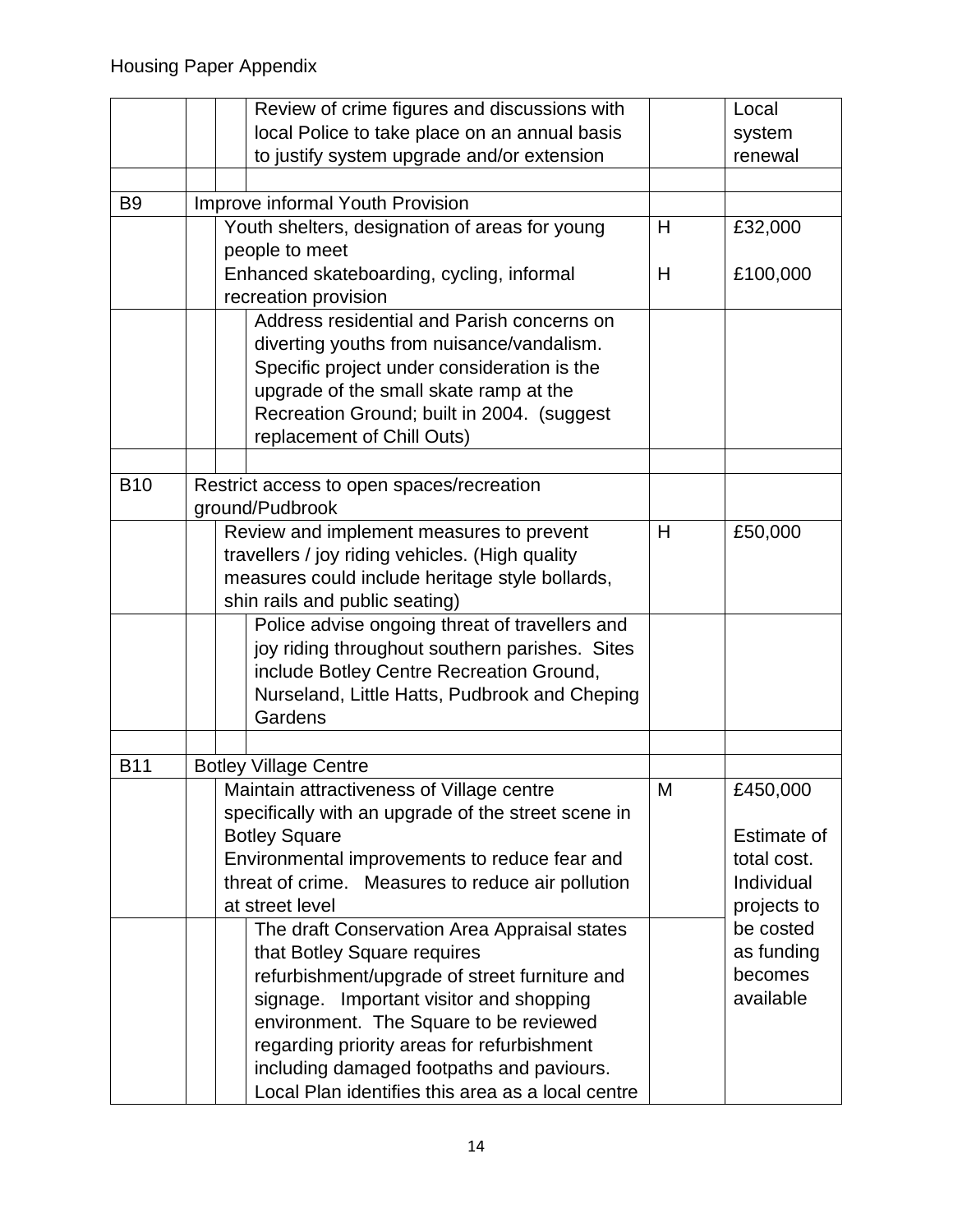|                | Review of crime figures and discussions with        |   | Local       |
|----------------|-----------------------------------------------------|---|-------------|
|                | local Police to take place on an annual basis       |   | system      |
|                | to justify system upgrade and/or extension          |   | renewal     |
|                |                                                     |   |             |
| B <sub>9</sub> | Improve informal Youth Provision                    |   |             |
|                | Youth shelters, designation of areas for young      |   | £32,000     |
|                | people to meet                                      |   |             |
|                | Enhanced skateboarding, cycling, informal           | H | £100,000    |
|                | recreation provision                                |   |             |
|                | Address residential and Parish concerns on          |   |             |
|                | diverting youths from nuisance/vandalism.           |   |             |
|                | Specific project under consideration is the         |   |             |
|                | upgrade of the small skate ramp at the              |   |             |
|                | Recreation Ground; built in 2004. (suggest          |   |             |
|                | replacement of Chill Outs)                          |   |             |
|                |                                                     |   |             |
| <b>B10</b>     | Restrict access to open spaces/recreation           |   |             |
|                | ground/Pudbrook                                     |   |             |
|                | Review and implement measures to prevent            | H | £50,000     |
|                | travellers / joy riding vehicles. (High quality     |   |             |
|                | measures could include heritage style bollards,     |   |             |
|                | shin rails and public seating)                      |   |             |
|                | Police advise ongoing threat of travellers and      |   |             |
|                | joy riding throughout southern parishes. Sites      |   |             |
|                | include Botley Centre Recreation Ground,            |   |             |
|                | Nurseland, Little Hatts, Pudbrook and Cheping       |   |             |
|                | Gardens                                             |   |             |
|                |                                                     |   |             |
| <b>B11</b>     | <b>Botley Village Centre</b>                        |   |             |
|                | Maintain attractiveness of Village centre           | M | £450,000    |
|                | specifically with an upgrade of the street scene in |   |             |
|                | <b>Botley Square</b>                                |   | Estimate of |
|                | Environmental improvements to reduce fear and       |   | total cost. |
|                | threat of crime. Measures to reduce air pollution   |   | Individual  |
|                | at street level                                     |   | projects to |
|                | The draft Conservation Area Appraisal states        |   | be costed   |
|                | that Botley Square requires                         |   | as funding  |
|                | refurbishment/upgrade of street furniture and       |   | becomes     |
|                | signage. Important visitor and shopping             |   | available   |
|                | environment. The Square to be reviewed              |   |             |
|                | regarding priority areas for refurbishment          |   |             |
|                | including damaged footpaths and paviours.           |   |             |
|                | Local Plan identifies this area as a local centre   |   |             |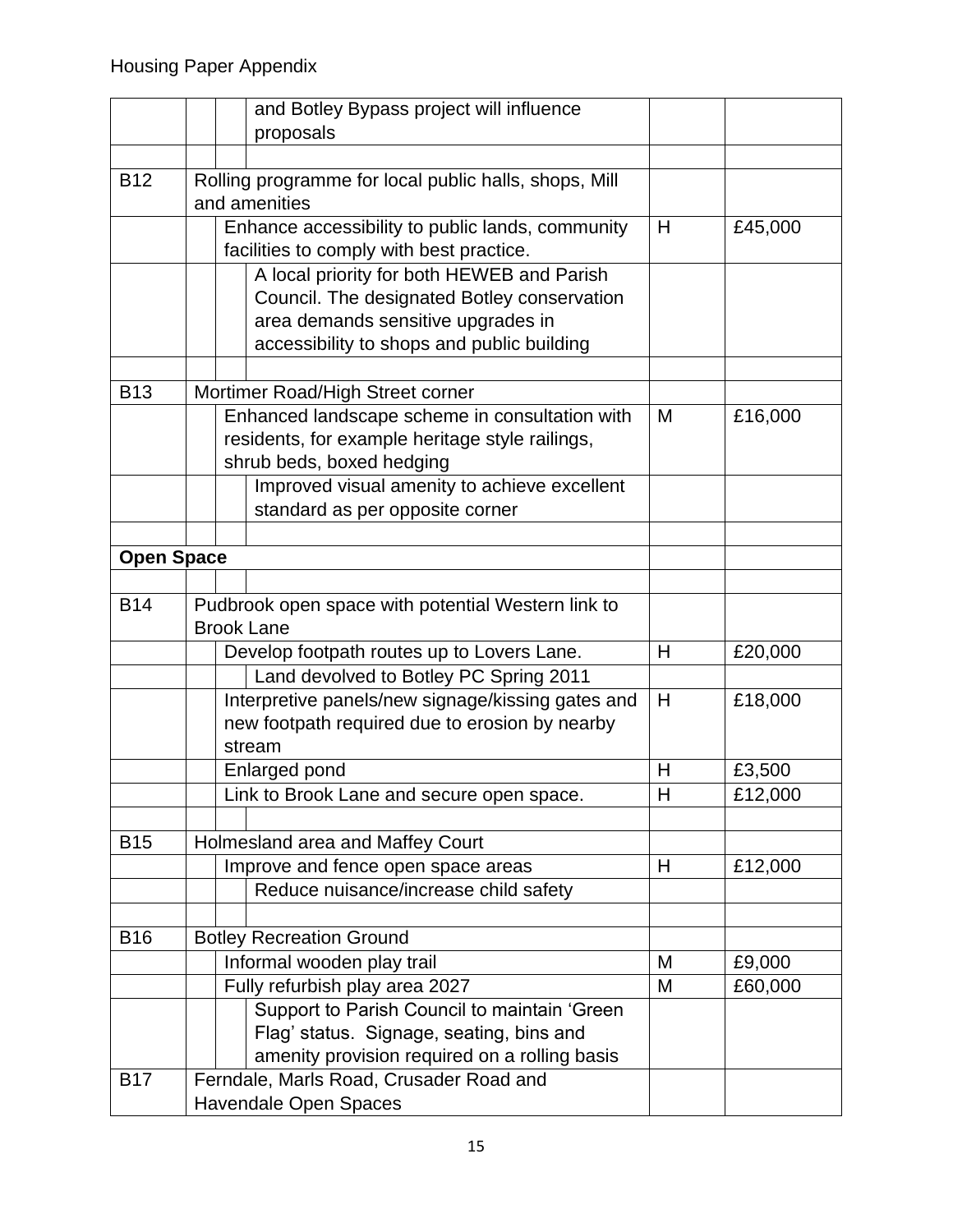|                   |                                                                         | and Botley Bypass project will influence              |              |         |
|-------------------|-------------------------------------------------------------------------|-------------------------------------------------------|--------------|---------|
|                   |                                                                         | proposals                                             |              |         |
|                   |                                                                         |                                                       |              |         |
| <b>B12</b>        |                                                                         | Rolling programme for local public halls, shops, Mill |              |         |
|                   |                                                                         | and amenities                                         |              |         |
|                   |                                                                         | Enhance accessibility to public lands, community      | H            | £45,000 |
|                   |                                                                         | facilities to comply with best practice.              |              |         |
|                   |                                                                         | A local priority for both HEWEB and Parish            |              |         |
|                   |                                                                         | Council. The designated Botley conservation           |              |         |
|                   |                                                                         | area demands sensitive upgrades in                    |              |         |
|                   |                                                                         | accessibility to shops and public building            |              |         |
|                   |                                                                         |                                                       |              |         |
| <b>B13</b>        |                                                                         | Mortimer Road/High Street corner                      |              |         |
|                   |                                                                         | Enhanced landscape scheme in consultation with        | M            | £16,000 |
|                   |                                                                         | residents, for example heritage style railings,       |              |         |
|                   |                                                                         | shrub beds, boxed hedging                             |              |         |
|                   |                                                                         | Improved visual amenity to achieve excellent          |              |         |
|                   |                                                                         | standard as per opposite corner                       |              |         |
|                   |                                                                         |                                                       |              |         |
| <b>Open Space</b> |                                                                         |                                                       |              |         |
|                   |                                                                         |                                                       |              |         |
| <b>B14</b>        | Pudbrook open space with potential Western link to<br><b>Brook Lane</b> |                                                       |              |         |
|                   |                                                                         |                                                       |              |         |
|                   |                                                                         | Develop footpath routes up to Lovers Lane.            | H            | £20,000 |
|                   |                                                                         | Land devolved to Botley PC Spring 2011                |              |         |
|                   |                                                                         | Interpretive panels/new signage/kissing gates and     | H            | £18,000 |
|                   |                                                                         | new footpath required due to erosion by nearby        |              |         |
|                   |                                                                         | stream                                                |              |         |
|                   |                                                                         | Enlarged pond                                         | Η            | £3,500  |
|                   |                                                                         | Link to Brook Lane and secure open space.             | $\mathsf{H}$ | £12,000 |
| <b>B15</b>        |                                                                         | Holmesland area and Maffey Court                      |              |         |
|                   |                                                                         | Improve and fence open space areas                    | H            | £12,000 |
|                   |                                                                         | Reduce nuisance/increase child safety                 |              |         |
|                   |                                                                         |                                                       |              |         |
| <b>B16</b>        |                                                                         | <b>Botley Recreation Ground</b>                       |              |         |
|                   |                                                                         | Informal wooden play trail                            | M            | £9,000  |
|                   |                                                                         | Fully refurbish play area 2027                        | M            | £60,000 |
|                   |                                                                         | Support to Parish Council to maintain 'Green          |              |         |
|                   |                                                                         | Flag' status. Signage, seating, bins and              |              |         |
|                   |                                                                         | amenity provision required on a rolling basis         |              |         |
| <b>B17</b>        |                                                                         | Ferndale, Marls Road, Crusader Road and               |              |         |
|                   |                                                                         | <b>Havendale Open Spaces</b>                          |              |         |
|                   |                                                                         |                                                       |              |         |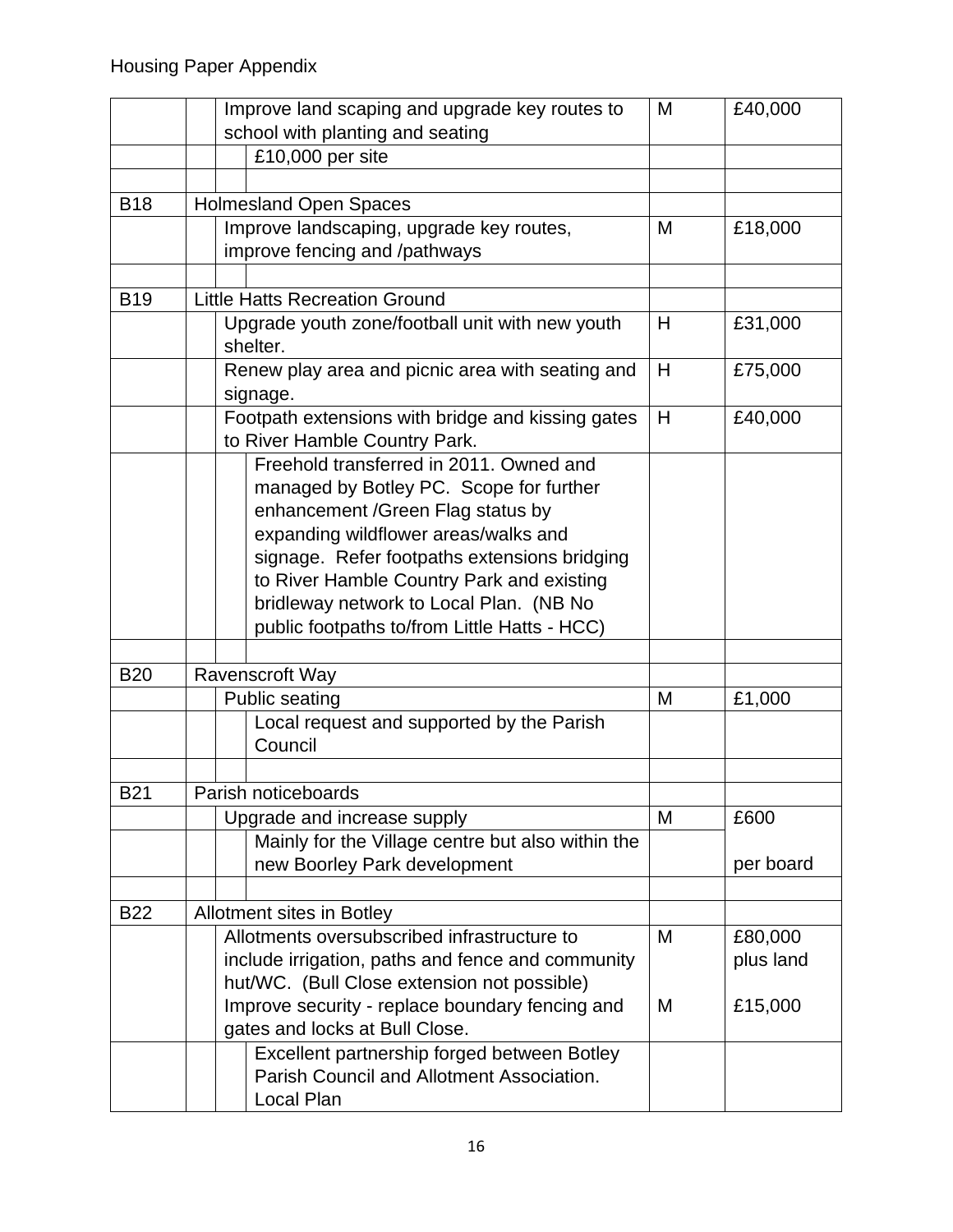|            | Improve land scaping and upgrade key routes to              | M | £40,000   |
|------------|-------------------------------------------------------------|---|-----------|
|            | school with planting and seating                            |   |           |
|            | £10,000 per site                                            |   |           |
|            |                                                             |   |           |
| <b>B18</b> | <b>Holmesland Open Spaces</b>                               |   |           |
|            | Improve landscaping, upgrade key routes,                    | M | £18,000   |
|            | improve fencing and /pathways                               |   |           |
|            |                                                             |   |           |
| <b>B19</b> | <b>Little Hatts Recreation Ground</b>                       |   |           |
|            | Upgrade youth zone/football unit with new youth<br>shelter. | H | £31,000   |
|            | Renew play area and picnic area with seating and            | H | £75,000   |
|            | signage.                                                    |   |           |
|            | Footpath extensions with bridge and kissing gates           | H | £40,000   |
|            | to River Hamble Country Park.                               |   |           |
|            | Freehold transferred in 2011. Owned and                     |   |           |
|            | managed by Botley PC. Scope for further                     |   |           |
|            | enhancement / Green Flag status by                          |   |           |
|            | expanding wildflower areas/walks and                        |   |           |
|            | signage. Refer footpaths extensions bridging                |   |           |
|            | to River Hamble Country Park and existing                   |   |           |
|            | bridleway network to Local Plan. (NB No                     |   |           |
|            | public footpaths to/from Little Hatts - HCC)                |   |           |
|            |                                                             |   |           |
| <b>B20</b> | Ravenscroft Way                                             |   |           |
|            | <b>Public seating</b>                                       | M | £1,000    |
|            | Local request and supported by the Parish<br>Council        |   |           |
|            |                                                             |   |           |
| <b>B21</b> | Parish noticeboards                                         |   |           |
|            | Upgrade and increase supply                                 | M | £600      |
|            | Mainly for the Village centre but also within the           |   |           |
|            | new Boorley Park development                                |   | per board |
|            |                                                             |   |           |
| <b>B22</b> | Allotment sites in Botley                                   |   |           |
|            | Allotments oversubscribed infrastructure to                 | M | £80,000   |
|            | include irrigation, paths and fence and community           |   | plus land |
|            | hut/WC. (Bull Close extension not possible)                 |   |           |
|            | Improve security - replace boundary fencing and             | M | £15,000   |
|            | gates and locks at Bull Close.                              |   |           |
|            | Excellent partnership forged between Botley                 |   |           |
|            | Parish Council and Allotment Association.                   |   |           |
|            | Local Plan                                                  |   |           |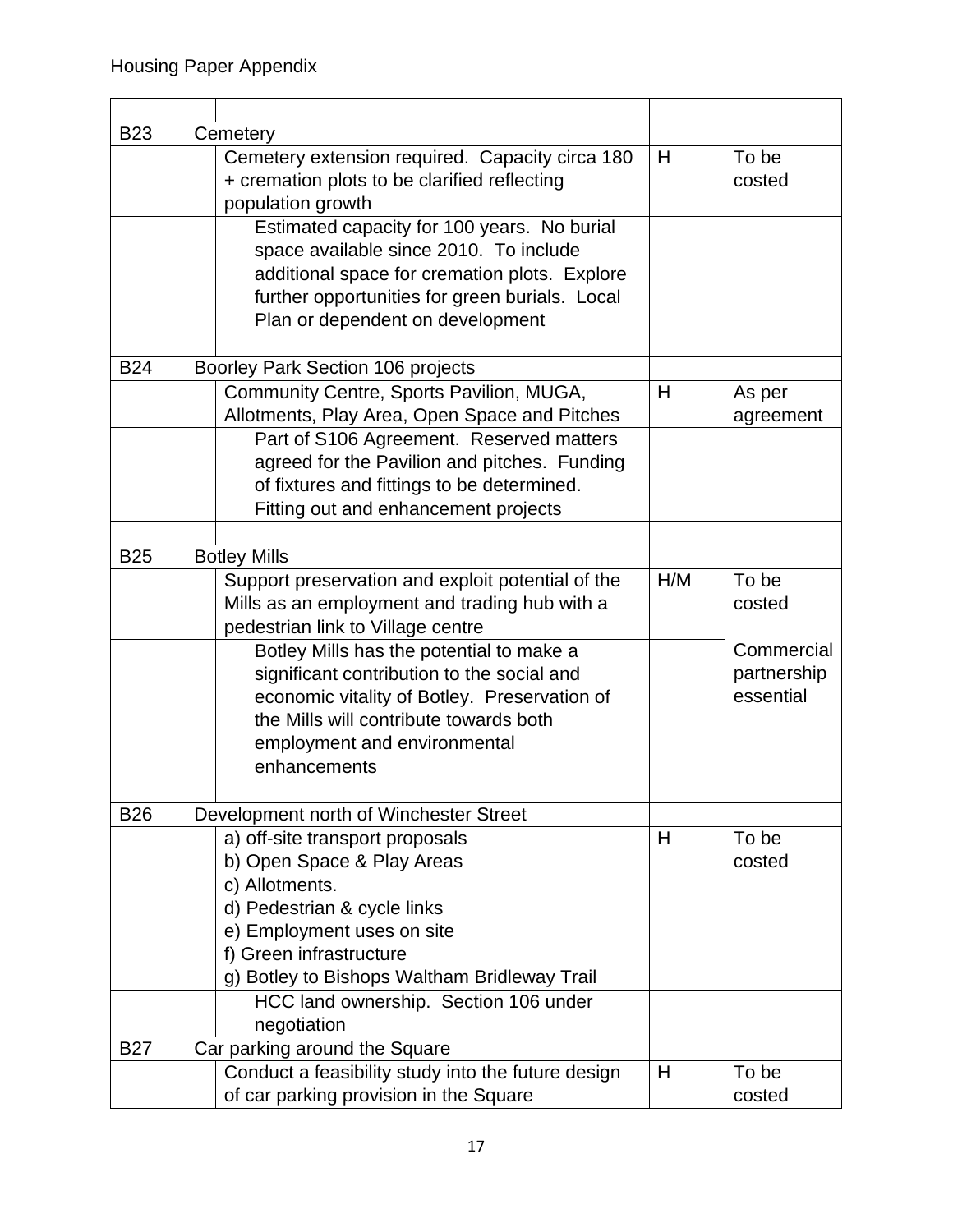| <b>B23</b> | Cemetery                                           |     |             |
|------------|----------------------------------------------------|-----|-------------|
|            | Cemetery extension required. Capacity circa 180    | H   | To be       |
|            | + cremation plots to be clarified reflecting       |     | costed      |
|            | population growth                                  |     |             |
|            | Estimated capacity for 100 years. No burial        |     |             |
|            | space available since 2010. To include             |     |             |
|            | additional space for cremation plots. Explore      |     |             |
|            | further opportunities for green burials. Local     |     |             |
|            | Plan or dependent on development                   |     |             |
|            |                                                    |     |             |
| <b>B24</b> | Boorley Park Section 106 projects                  |     |             |
|            | Community Centre, Sports Pavilion, MUGA,           | H   | As per      |
|            | Allotments, Play Area, Open Space and Pitches      |     | agreement   |
|            | Part of S106 Agreement. Reserved matters           |     |             |
|            | agreed for the Pavilion and pitches. Funding       |     |             |
|            | of fixtures and fittings to be determined.         |     |             |
|            | Fitting out and enhancement projects               |     |             |
|            |                                                    |     |             |
| <b>B25</b> | <b>Botley Mills</b>                                |     |             |
|            | Support preservation and exploit potential of the  |     | To be       |
|            | Mills as an employment and trading hub with a      | H/M | costed      |
|            | pedestrian link to Village centre                  |     |             |
|            | Botley Mills has the potential to make a           |     | Commercial  |
|            | significant contribution to the social and         |     | partnership |
|            | economic vitality of Botley. Preservation of       |     | essential   |
|            | the Mills will contribute towards both             |     |             |
|            | employment and environmental                       |     |             |
|            | enhancements                                       |     |             |
|            |                                                    |     |             |
| <b>B26</b> | Development north of Winchester Street             |     |             |
|            | a) off-site transport proposals                    | H   | To be       |
|            | b) Open Space & Play Areas                         |     | costed      |
|            | c) Allotments.                                     |     |             |
|            | d) Pedestrian & cycle links                        |     |             |
|            | e) Employment uses on site                         |     |             |
|            | f) Green infrastructure                            |     |             |
|            | g) Botley to Bishops Waltham Bridleway Trail       |     |             |
|            | HCC land ownership. Section 106 under              |     |             |
|            | negotiation                                        |     |             |
| <b>B27</b> | Car parking around the Square                      |     |             |
|            | Conduct a feasibility study into the future design | H   | To be       |
|            | of car parking provision in the Square             |     | costed      |
|            |                                                    |     |             |